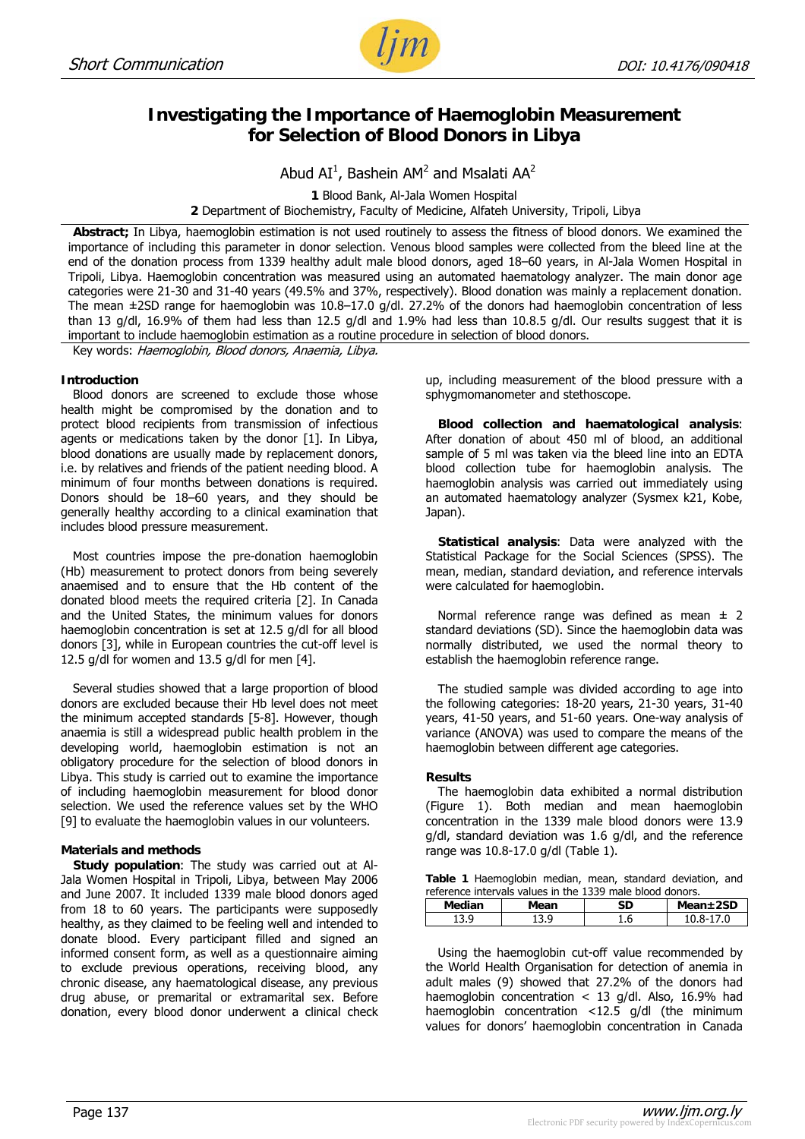

# **Investigating the Importance of Haemoglobin Measurement for Selection of Blood Donors in Libya**

Abud AI<sup>1</sup>, Bashein AM<sup>2</sup> and Msalati AA<sup>2</sup>

**1** Blood Bank, Al-Jala Women Hospital

 **2** Department of Biochemistry, Faculty of Medicine, Alfateh University, Tripoli, Libya

**Abstract;** In Libya, haemoglobin estimation is not used routinely to assess the fitness of blood donors. We examined the importance of including this parameter in donor selection. Venous blood samples were collected from the bleed line at the end of the donation process from 1339 healthy adult male blood donors, aged 18–60 years, in Al-Jala Women Hospital in Tripoli, Libya. Haemoglobin concentration was measured using an automated haematology analyzer. The main donor age categories were 21-30 and 31-40 years (49.5% and 37%, respectively). Blood donation was mainly a replacement donation. The mean ±2SD range for haemoglobin was 10.8–17.0 g/dl. 27.2% of the donors had haemoglobin concentration of less than 13 g/dl, 16.9% of them had less than 12.5 g/dl and 1.9% had less than 10.8.5 g/dl. Our results suggest that it is important to include haemoglobin estimation as a routine procedure in selection of blood donors.

Key words: Haemoglobin, Blood donors, Anaemia, Libya.

## **Introduction**

Blood donors are screened to exclude those whose health might be compromised by the donation and to protect blood recipients from transmission of infectious agents or medications taken by the donor [1]. In Libya, blood donations are usually made by replacement donors, i.e. by relatives and friends of the patient needing blood. A minimum of four months between donations is required. Donors should be 18–60 years, and they should be generally healthy according to a clinical examination that includes blood pressure measurement.

Most countries impose the pre-donation haemoglobin (Hb) measurement to protect donors from being severely anaemised and to ensure that the Hb content of the donated blood meets the required criteria [2]. In Canada and the United States, the minimum values for donors haemoglobin concentration is set at 12.5 g/dl for all blood donors [3], while in European countries the cut-off level is 12.5 g/dl for women and 13.5 g/dl for men [4].

Several studies showed that a large proportion of blood donors are excluded because their Hb level does not meet the minimum accepted standards [5-8]. However, though anaemia is still a widespread public health problem in the developing world, haemoglobin estimation is not an obligatory procedure for the selection of blood donors in Libya. This study is carried out to examine the importance of including haemoglobin measurement for blood donor selection. We used the reference values set by the WHO [9] to evaluate the haemoglobin values in our volunteers.

# **Materials and methods**

**Study population**: The study was carried out at Al-Jala Women Hospital in Tripoli, Libya, between May 2006 and June 2007. It included 1339 male blood donors aged from 18 to 60 years. The participants were supposedly healthy, as they claimed to be feeling well and intended to donate blood. Every participant filled and signed an informed consent form, as well as a questionnaire aiming to exclude previous operations, receiving blood, any chronic disease, any haematological disease, any previous drug abuse, or premarital or extramarital sex. Before donation, every blood donor underwent a clinical check up, including measurement of the blood pressure with a sphygmomanometer and stethoscope.

**Blood collection and haematological analysis**: After donation of about 450 ml of blood, an additional sample of 5 ml was taken via the bleed line into an EDTA blood collection tube for haemoglobin analysis. The haemoglobin analysis was carried out immediately using an automated haematology analyzer (Sysmex k21, Kobe, Japan).

**Statistical analysis**: Data were analyzed with the Statistical Package for the Social Sciences (SPSS). The mean, median, standard deviation, and reference intervals were calculated for haemoglobin.

Normal reference range was defined as mean  $\pm$  2 standard deviations (SD). Since the haemoglobin data was normally distributed, we used the normal theory to establish the haemoglobin reference range.

The studied sample was divided according to age into the following categories: 18-20 years, 21-30 years, 31-40 years, 41-50 years, and 51-60 years. One-way analysis of variance (ANOVA) was used to compare the means of the haemoglobin between different age categories.

## **Results**

The haemoglobin data exhibited a normal distribution (Figure 1). Both median and mean haemoglobin concentration in the 1339 male blood donors were 13.9 g/dl, standard deviation was 1.6 g/dl, and the reference range was 10.8-17.0 g/dl (Table 1).

**Table 1** Haemoglobin median, mean, standard deviation, and reference intervals values in the 1339 male blood donors.

| Median | Mean | SD | $Mean + 2SD$ |
|--------|------|----|--------------|
|        | 0 ج  |    | Զ-           |

Using the haemoglobin cut-off value recommended by the World Health Organisation for detection of anemia in adult males (9) showed that 27.2% of the donors had haemoglobin concentration < 13 g/dl. Also, 16.9% had haemoglobin concentration <12.5 g/dl (the minimum values for donors' haemoglobin concentration in Canada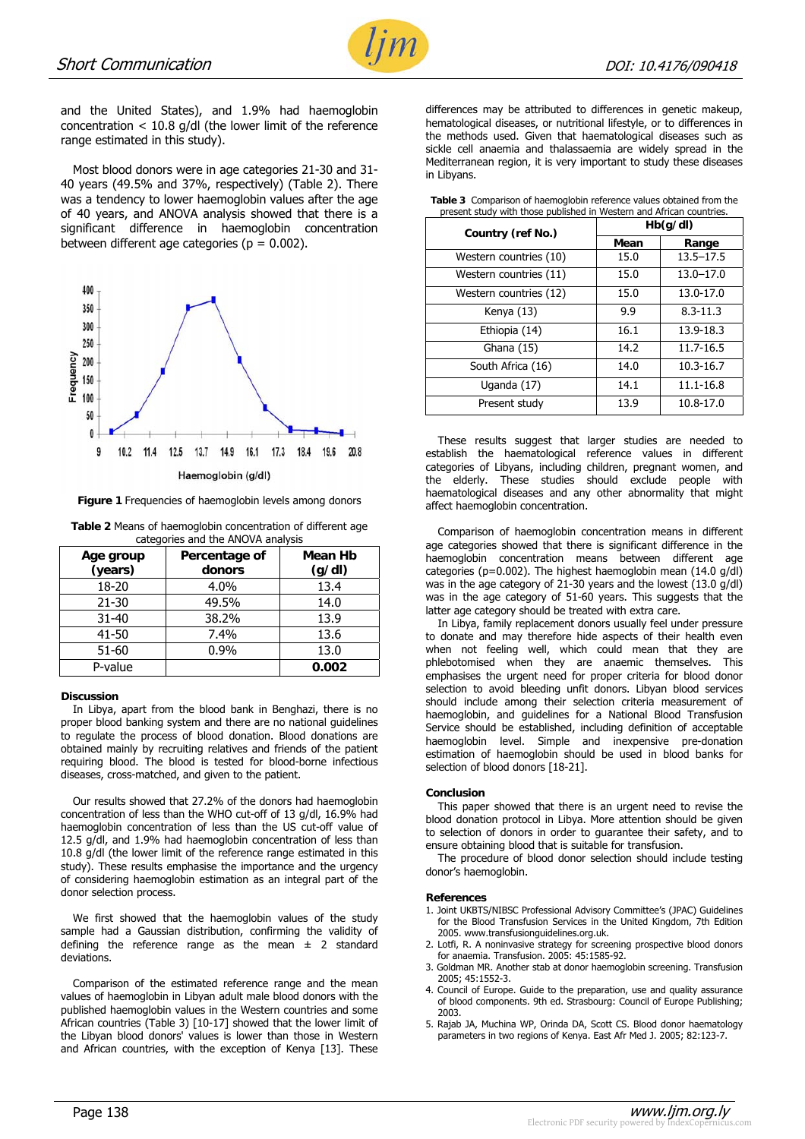

and the United States), and 1.9% had haemoglobin concentration  $<$  10.8 g/dl (the lower limit of the reference range estimated in this study).

Most blood donors were in age categories 21-30 and 31- 40 years (49.5% and 37%, respectively) (Table 2). There was a tendency to lower haemoglobin values after the age of 40 years, and ANOVA analysis showed that there is a significant difference in haemoglobin concentration between different age categories ( $p = 0.002$ ).



**Figure 1** Frequencies of haemoglobin levels among donors

**Table 2** Means of haemoglobin concentration of different age categories and the ANOVA analysis

| Age group<br>(years) | Percentage of<br>donors | Mean Hb<br>(g/d) |
|----------------------|-------------------------|------------------|
| 18-20                | 4.0%                    | 13.4             |
| $21 - 30$            | 49.5%                   | 14.0             |
| $31 - 40$            | 38.2%                   | 13.9             |
| 41-50                | 7.4%                    | 13.6             |
| 51-60                | 0.9%                    | 13.0             |
| P-value              |                         | 0.002            |

## **Discussion**

In Libya, apart from the blood bank in Benghazi, there is no proper blood banking system and there are no national guidelines to regulate the process of blood donation. Blood donations are obtained mainly by recruiting relatives and friends of the patient requiring blood. The blood is tested for blood-borne infectious diseases, cross-matched, and given to the patient.

Our results showed that 27.2% of the donors had haemoglobin concentration of less than the WHO cut-off of 13 g/dl, 16.9% had haemoglobin concentration of less than the US cut-off value of 12.5 g/dl, and 1.9% had haemoglobin concentration of less than 10.8 g/dl (the lower limit of the reference range estimated in this study). These results emphasise the importance and the urgency of considering haemoglobin estimation as an integral part of the donor selection process.

We first showed that the haemoglobin values of the study sample had a Gaussian distribution, confirming the validity of defining the reference range as the mean  $\pm$  2 standard deviations.

Comparison of the estimated reference range and the mean values of haemoglobin in Libyan adult male blood donors with the published haemoglobin values in the Western countries and some African countries (Table 3) [10-17] showed that the lower limit of the Libyan blood donors' values is lower than those in Western and African countries, with the exception of Kenya [13]. These

differences may be attributed to differences in genetic makeup, hematological diseases, or nutritional lifestyle, or to differences in the methods used. Given that haematological diseases such as sickle cell anaemia and thalassaemia are widely spread in the Mediterranean region, it is very important to study these diseases in Libyans.

| Table 3 Comparison of haemoglobin reference values obtained from the |
|----------------------------------------------------------------------|
| present study with those published in Western and African countries. |

| Country (ref No.)      | Hb(q/dl) |               |
|------------------------|----------|---------------|
|                        | Mean     | Range         |
| Western countries (10) | 15.0     | $13.5 - 17.5$ |
| Western countries (11) | 15.0     | $13.0 - 17.0$ |
| Western countries (12) | 15.0     | 13.0-17.0     |
| Kenya (13)             | 9.9      | $8.3 - 11.3$  |
| Ethiopia (14)          | 16.1     | 13.9-18.3     |
| Ghana (15)             | 14.2     | 11.7-16.5     |
| South Africa (16)      | 14.0     | 10.3-16.7     |
| Uganda (17)            | 14.1     | 11.1-16.8     |
| Present study          | 13.9     | 10.8-17.0     |

These results suggest that larger studies are needed to establish the haematological reference values in different categories of Libyans, including children, pregnant women, and the elderly. These studies should exclude people with haematological diseases and any other abnormality that might affect haemoglobin concentration.

Comparison of haemoglobin concentration means in different age categories showed that there is significant difference in the haemoglobin concentration means between different age categories (p=0.002). The highest haemoglobin mean (14.0  $g/dl$ ) was in the age category of 21-30 years and the lowest (13.0 g/dl) was in the age category of 51-60 years. This suggests that the latter age category should be treated with extra care.

In Libya, family replacement donors usually feel under pressure to donate and may therefore hide aspects of their health even when not feeling well, which could mean that they are phlebotomised when they are anaemic themselves. This emphasises the urgent need for proper criteria for blood donor selection to avoid bleeding unfit donors. Libyan blood services should include among their selection criteria measurement of haemoglobin, and guidelines for a National Blood Transfusion Service should be established, including definition of acceptable haemoglobin level. Simple and inexpensive pre-donation estimation of haemoglobin should be used in blood banks for selection of blood donors [18-21].

#### **Conclusion**

This paper showed that there is an urgent need to revise the blood donation protocol in Libya. More attention should be given to selection of donors in order to guarantee their safety, and to ensure obtaining blood that is suitable for transfusion.

The procedure of blood donor selection should include testing donor's haemoglobin.

#### **References**

- 1. Joint UKBTS/NIBSC Professional Advisory Committee's (JPAC) Guidelines for the Blood Transfusion Services in the United Kingdom, 7th Edition 2005. www.transfusionguidelines.org.uk.
- 2. Lotfi, R. A noninvasive strategy for screening prospective blood donors for anaemia. Transfusion. 2005: 45:1585-92.
- 3. Goldman MR. Another stab at donor haemoglobin screening. Transfusion 2005; 45:1552-3.
- 4. Council of Europe. Guide to the preparation, use and quality assurance of blood components. 9th ed. Strasbourg: Council of Europe Publishing; 2003.
- 5. Rajab JA, Muchina WP, Orinda DA, Scott CS. Blood donor haematology parameters in two regions of Kenya. East Afr Med J. 2005; 82:123-7.